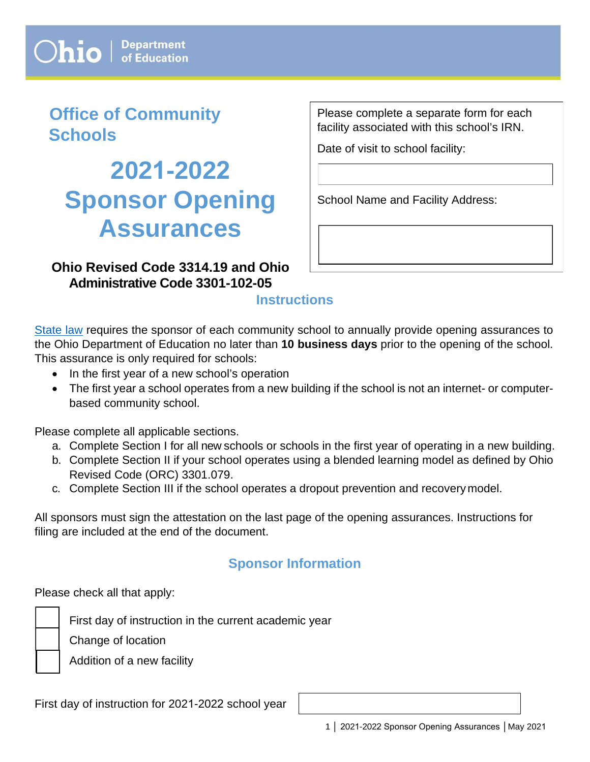# **Office of Community Schools**

# **2021-2022 Sponsor Opening Assurances**

**Ohio Revised Code 3314.19 and Ohio Administrative Code 3301-102-05** 

Please complete a separate form for each facility associated with this school's IRN.

Date of visit to school facility:

School Name and Facility Address:

# **Instructions**

[State law](http://codes.ohio.gov/orc/3314.19) requires the sponsor of each community school to annually provide opening assurances to the Ohio Department of Education no later than **10 business days** prior to the opening of the school. This assurance is only required for schools:

- In the first year of a new school's operation
- The first year a school operates from a new building if the school is not an internet- or computerbased community school.

Please complete all applicable sections.

- a. Complete Section I for all new schools or schools in the first year of operating in a new building.
- b. Complete Section II if your school operates using a blended learning model as defined by Ohio Revised Code (ORC) 3301.079.
- c. Complete Section III if the school operates a dropout prevention and recovery model.

All sponsors must sign the attestation on the last page of the opening assurances. Instructions for filing are included at the end of the document.

# **Sponsor Information**

Please check all that apply:

First day of instruction in the current academic year

Change of location

Addition of a new facility

First day of instruction for 2021-2022 school year

1 | 2021-2022 Sponsor Opening Assurances | May 2021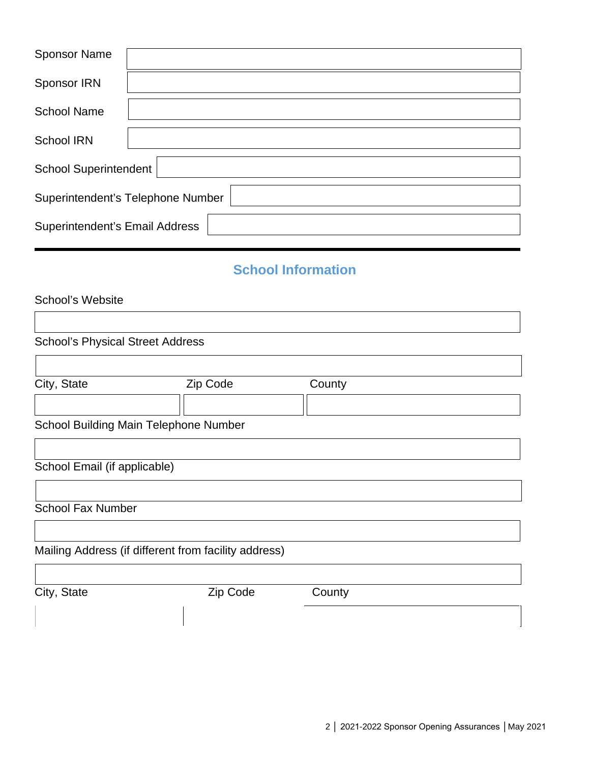| <b>Sponsor Name</b>                   |                                   |
|---------------------------------------|-----------------------------------|
| Sponsor IRN                           |                                   |
| <b>School Name</b>                    |                                   |
| <b>School IRN</b>                     |                                   |
| <b>School Superintendent</b>          |                                   |
|                                       | Superintendent's Telephone Number |
| <b>Superintendent's Email Address</b> |                                   |

# **School Information**

| School's Website |
|------------------|
|                  |

| <b>School's Physical Street Address</b>      |                                                      |        |  |
|----------------------------------------------|------------------------------------------------------|--------|--|
| City, State                                  | Zip Code                                             | County |  |
| <b>School Building Main Telephone Number</b> |                                                      |        |  |
| School Email (if applicable)                 |                                                      |        |  |
| <b>School Fax Number</b>                     |                                                      |        |  |
|                                              | Mailing Address (if different from facility address) |        |  |
| City, State                                  | Zip Code                                             | County |  |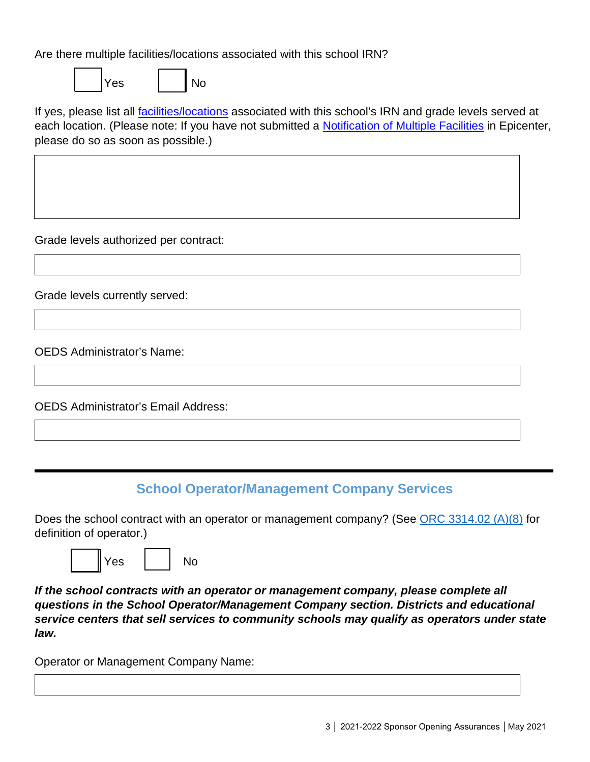Are there multiple facilities/locations associated with this school IRN?

Yes | | No

If yes, please list all [facilities/locations](http://education.ohio.gov/getattachment/Topics/Community-Schools/Guidance-Documents-Webinars-and-Presentations/OCS-Notification-of-Multiple-Facilities.pdf.aspx?lang=en-US) associated with this school's IRN and grade levels served at each location. (Please note: If you have not submitted a **Notification of Multiple Facilities** in Epicenter, please do so as soon as possible.)

Grade levels authorized per contract:

Grade levels currently served:

OEDS Administrator's Name:

OEDS Administrator's Email Address:

# **School Operator/Management Company Services**

Does the school contract with an operator or management company? (See [ORC 3314.02 \(A\)\(8\)](http://codes.ohio.gov/orc/3314.02) for definition of operator.)



*If the school contracts with an operator or management company, please complete all questions in the School Operator/Management Company section. Districts and educational service centers that sell services to community schools may qualify as operators under state law.*

Operator or Management Company Name: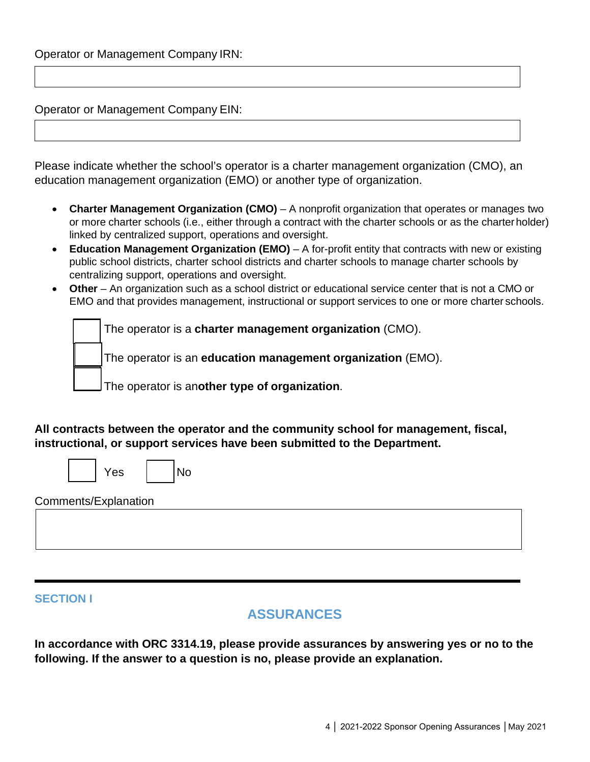Operator or Management Company EIN:

 $\Gamma$ 

Please indicate whether the school's operator is a charter management organization (CMO), an education management organization (EMO) or another type of organization.

- **Charter Management Organization (CMO)**  A nonprofit organization that operates or manages two or more charter schools (i.e., either through a contract with the charter schools or as the charterholder) linked by centralized support, operations and oversight.
- Education Management Organization (EMO) A for-profit entity that contracts with new or existing public school districts, charter school districts and charter schools to manage charter schools by centralizing support, operations and oversight.
- **Other**  An organization such as a school district or educational service center that is not a CMO or EMO and that provides management, instructional or support services to one or more charter schools.

The operator is a **charter management organization** (CMO).

The operator is an **education management organization** (EMO).

The operator is an**other type of organization**.

**All contracts between the operator and the community school for management, fiscal, instructional, or support services have been submitted to the Department.**

|                      | Yes | No |  |  |
|----------------------|-----|----|--|--|
| Comments/Explanation |     |    |  |  |
|                      |     |    |  |  |
|                      |     |    |  |  |

#### **SECTION I**

### **ASSURANCES**

**In accordance with ORC 3314.19, please provide assurances by answering yes or no to the following. If the answer to a question is no, please provide an explanation.**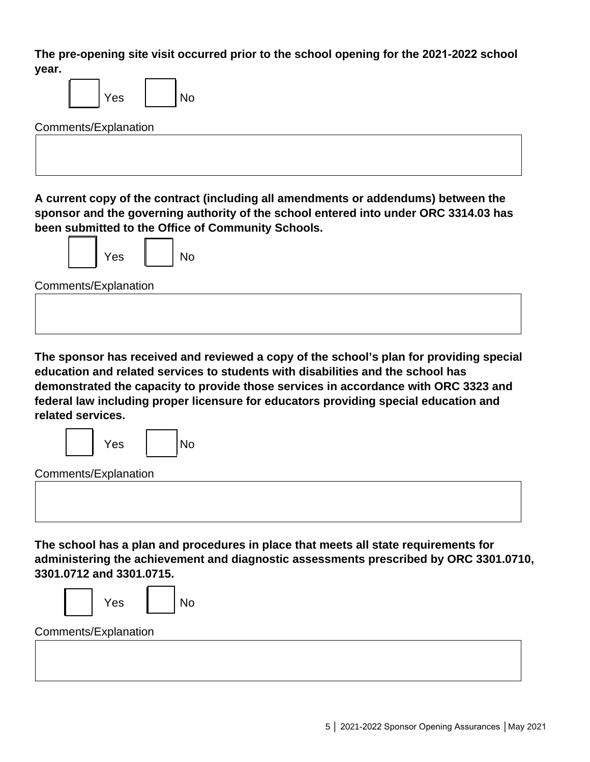**The pre-opening site visit occurred prior to the school opening for the 2021-2022 school year.**

| year.                                                                                |
|--------------------------------------------------------------------------------------|
| Yes<br><b>No</b>                                                                     |
| Comments/Explanation                                                                 |
|                                                                                      |
|                                                                                      |
|                                                                                      |
| A current copy of the contract (including all amendments or addendums) between the   |
| sponsor and the governing authority of the school entered into under ORC 3314.03 has |
| been submitted to the Office of Community Schools.                                   |
|                                                                                      |

Yes | | No

**The sponsor has received and reviewed a copy of the school's plan for providing special education and related services to students with disabilities and the school has demonstrated the capacity to provide those services in accordance with ORC 3323 and federal law including proper licensure for educators providing special education and related services.**

| Yes |  |  | N∩ |
|-----|--|--|----|
|-----|--|--|----|

Comments/Explanation

**The school has a plan and procedures in place that meets all state requirements for administering the achievement and diagnostic assessments prescribed by ORC 3301.0710, 3301.0712 and 3301.0715.**



Comments/Explanation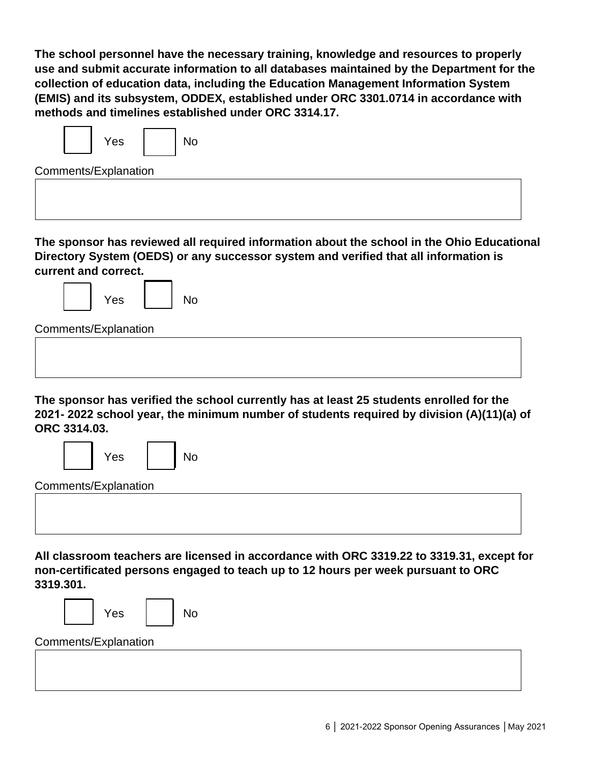**The school personnel have the necessary training, knowledge and resources to properly use and submit accurate information to all databases maintained by the Department for the collection of education data, including the Education Management Information System (EMIS) and its subsystem, ODDEX, established under ORC 3301.0714 in accordance with methods and timelines established under ORC 3314.17.**



Comments/Explanation

**The sponsor has reviewed all required information about the school in the Ohio Educational Directory System (OEDS) or any successor system and verified that all information is current and correct.**



**The sponsor has verified the school currently has at least 25 students enrolled for the 2021- 2022 school year, the minimum number of students required by division (A)(11)(a) of ORC 3314.03.** 



**All classroom teachers are licensed in accordance with ORC 3319.22 to 3319.31, except for non-certificated persons engaged to teach up to 12 hours per week pursuant to ORC 3319.301.**



Yes | | No

#### Comments/Explanation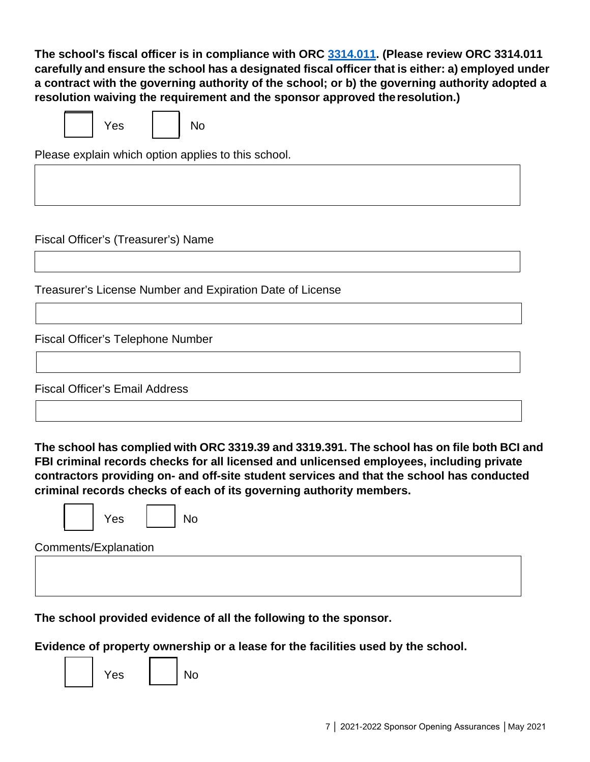**The school's fiscal officer is in compliance with ORC 3314.011. (Please review ORC 3314.011 carefully and ensure the school has a designated fiscal officer that is either: a) employed under a contract with the governing authority of the school; or b) the governing authority adopted a resolution waiving the requirement and the sponsor approved theresolution.)**

| Yes |  | No |
|-----|--|----|

Please explain which option applies to this school.

Fiscal Officer's (Treasurer's) Name

Treasurer's License Number and Expiration Date of License

Fiscal Officer's Telephone Number

Fiscal Officer's Email Address

**The school has complied with ORC 3319.39 and 3319.391. The school has on file both BCI and FBI criminal records checks for all licensed and unlicensed employees, including private contractors providing on- and off-site student services and that the school has conducted criminal records checks of each of its governing authority members.**



Yes I I No

Comments/Explanation

**The school provided evidence of all the following to the sponsor.**

**Evidence of property ownership or a lease for the facilities used by the school.**

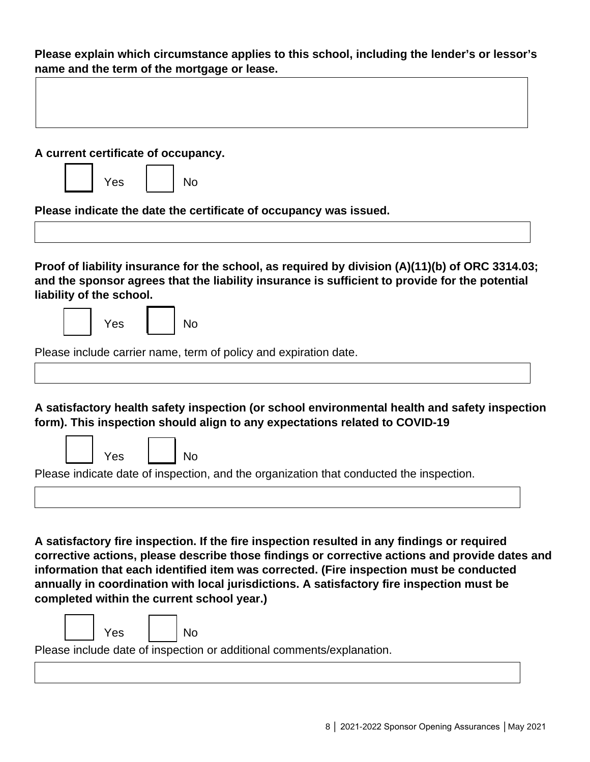**Please explain which circumstance applies to this school, including the lender's or lessor's name and the term of the mortgage or lease.**

| A current certificate of occupancy.<br>Yes | No                                                                                                                                                                                                                                                                                                                                                                                                                                  |  |
|--------------------------------------------|-------------------------------------------------------------------------------------------------------------------------------------------------------------------------------------------------------------------------------------------------------------------------------------------------------------------------------------------------------------------------------------------------------------------------------------|--|
|                                            | Please indicate the date the certificate of occupancy was issued.                                                                                                                                                                                                                                                                                                                                                                   |  |
| liability of the school.<br>Yes            | Proof of liability insurance for the school, as required by division (A)(11)(b) of ORC 3314.03;<br>and the sponsor agrees that the liability insurance is sufficient to provide for the potential<br>No                                                                                                                                                                                                                             |  |
|                                            |                                                                                                                                                                                                                                                                                                                                                                                                                                     |  |
|                                            | Please include carrier name, term of policy and expiration date.                                                                                                                                                                                                                                                                                                                                                                    |  |
| Yes                                        | A satisfactory health safety inspection (or school environmental health and safety inspection<br>form). This inspection should align to any expectations related to COVID-19<br>No<br>Please indicate date of inspection, and the organization that conducted the inspection.                                                                                                                                                       |  |
|                                            | A satisfactory fire inspection. If the fire inspection resulted in any findings or required<br>corrective actions, please describe those findings or corrective actions and provide dates and<br>information that each identified item was corrected. (Fire inspection must be conducted<br>annually in coordination with local jurisdictions. A satisfactory fire inspection must be<br>completed within the current school year.) |  |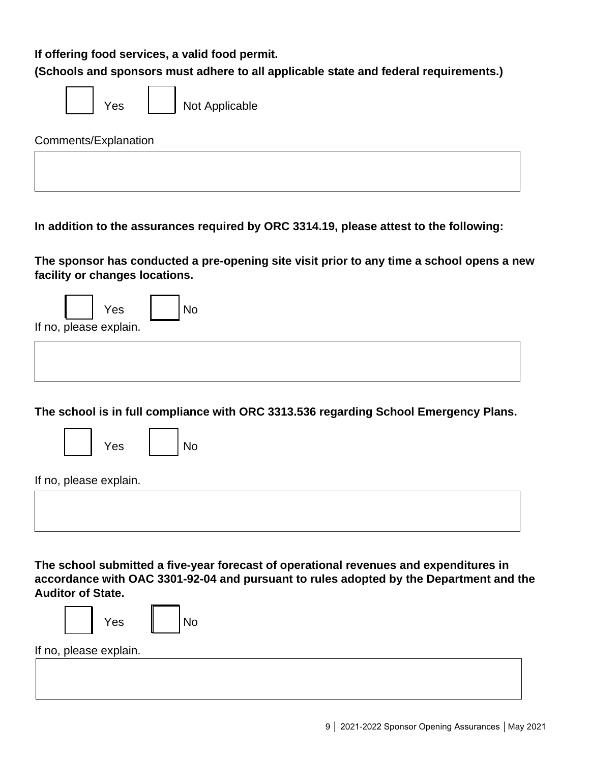**If offering food services, a valid food permit.**

**(Schools and sponsors must adhere to all applicable state and federal requirements.)**

| es |
|----|
|----|

Not Applicable

Comments/Explanation

**In addition to the assurances required by ORC 3314.19, please attest to the following:**

**The sponsor has conducted a pre-opening site visit prior to any time a school opens a new facility or changes locations.**

|  | Yes                    |  |
|--|------------------------|--|
|  | If no, please explain. |  |

**The school is in full compliance with ORC 3313.536 regarding School Emergency Plans.**

|--|

If no, please explain.

**The school submitted a five-year forecast of operational revenues and expenditures in accordance with OAC 3301-92-04 and pursuant to rules adopted by the Department and the Auditor of State.**



If no, please explain.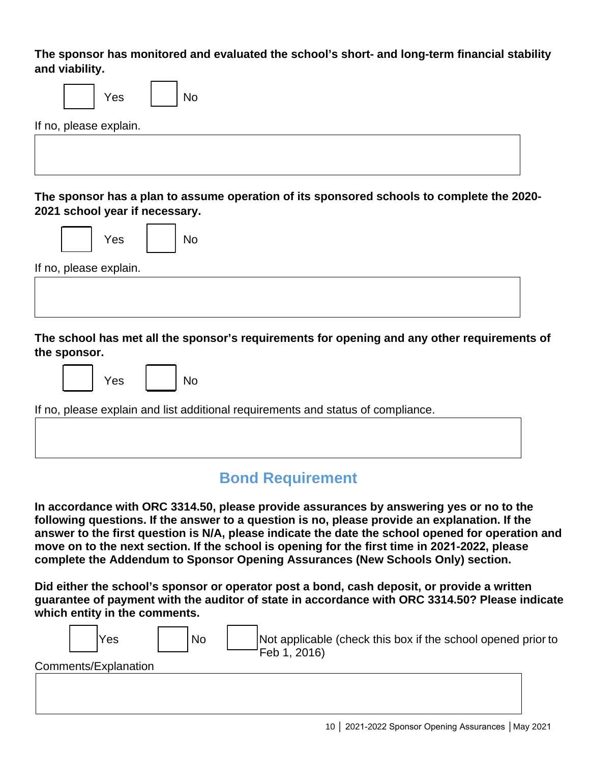**The sponsor has monitored and evaluated the school's short- and long-term financial stability and viability.**

| No<br>Yes                                                                                   |
|---------------------------------------------------------------------------------------------|
| If no, please explain.                                                                      |
|                                                                                             |
|                                                                                             |
| The sponsor has a plan to assume operation of its sponsored schools to complete the 2020-   |
| 2021 school year if necessary.                                                              |
| Yes<br>No                                                                                   |
|                                                                                             |
| If no, please explain.                                                                      |
|                                                                                             |
|                                                                                             |
| The school has met all the sponsor's requirements for opening and any other requirements of |
| the sponsor.                                                                                |
| Yes<br>No                                                                                   |
| If no, please explain and list additional requirements and status of compliance.            |

# **Bond Requirement**

**In accordance with ORC 3314.50, please provide assurances by answering yes or no to the following questions. If the answer to a question is no, please provide an explanation. If the answer to the first question is N/A, please indicate the date the school opened for operation and move on to the next section. If the school is opening for the first time in 2021-2022, please complete the Addendum to Sponsor Opening Assurances (New Schools Only) section.**

**Did either the school's sponsor or operator post a bond, cash deposit, or provide a written guarantee of payment with the auditor of state in accordance with ORC 3314.50? Please indicate which entity in the comments.**

| Yes                  | <b>No</b> | Not applicable (check this box if the school opened prior to<br>Feb 1, 2016) |
|----------------------|-----------|------------------------------------------------------------------------------|
| Comments/Explanation |           |                                                                              |
|                      |           |                                                                              |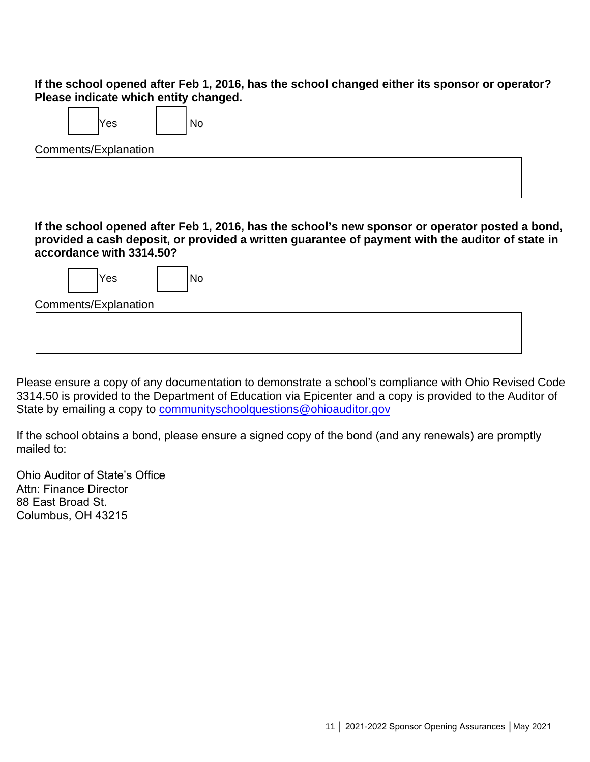**If the school opened after Feb 1, 2016, has the school changed either its sponsor or operator? Please indicate which entity changed.**

| Yes |  | ۹o |
|-----|--|----|
|-----|--|----|

Comments/Explanation

**If the school opened after Feb 1, 2016, has the school's new sponsor or operator posted a bond, provided a cash deposit, or provided a written guarantee of payment with the auditor of state in accordance with 3314.50?**

| Yes                  | <b>NO</b> |  |  |
|----------------------|-----------|--|--|
| Comments/Explanation |           |  |  |
|                      |           |  |  |
|                      |           |  |  |
|                      |           |  |  |

Please ensure a copy of any documentation to demonstrate a school's compliance with Ohio Revised Code 3314.50 is provided to the Department of Education via Epicenter and a copy is provided to the Auditor of State by emailing a copy to [communityschoolquestions@ohioauditor.gov](mailto:communityschoolquestions@ohioauditor.gov)

If the school obtains a bond, please ensure a signed copy of the bond (and any renewals) are promptly mailed to:

Ohio Auditor of State's Office Attn: Finance Director 88 East Broad St. Columbus, OH 43215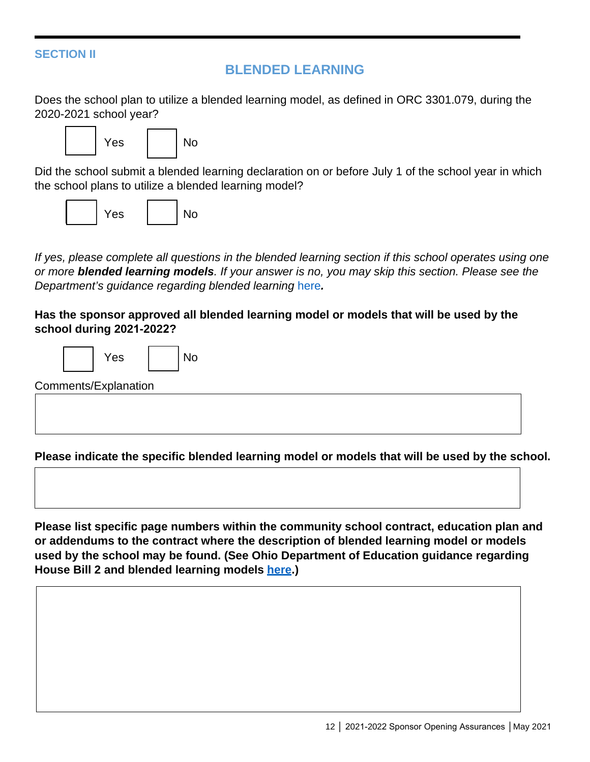#### **SECTION II**

#### **BLENDED LEARNING**

Does the school plan to utilize a blended learning model, as defined in ORC 3301.079, during the 2020-2021 school year?



Did the school submit a blended learning declaration on or before July 1 of the school year in which the school plans to utilize a blended learning model?



*If yes, please complete all questions in the blended learning section if this school operates using one or more blended learning models. If your answer is no, you may skip this section. Please see the*  **Department's guidance regarding blended learning [here](https://education.ohio.gov/getattachment/Topics/Community-Schools/Sections/Public-Documents-and-Reports/Blended-Learning-Guidance.pdf.aspx).** 

**Has the sponsor approved all blended learning model or models that will be used by the school during 2021-2022?** 



Comments/Explanation

**Please indicate the specific blended learning model or models that will be used by the school.**

**Please list specific page numbers within the community school contract, education plan and or addendums to the contract where the description of blended learning model or models used by the school may be found. (See Ohio Department of Education guidance regarding House Bill 2 and blended learning models [here.](https://education.ohio.gov/getattachment/Topics/Community-Schools/Sections/Public-Documents-and-Reports/Blended-Learning-Guidance.pdf.aspx))**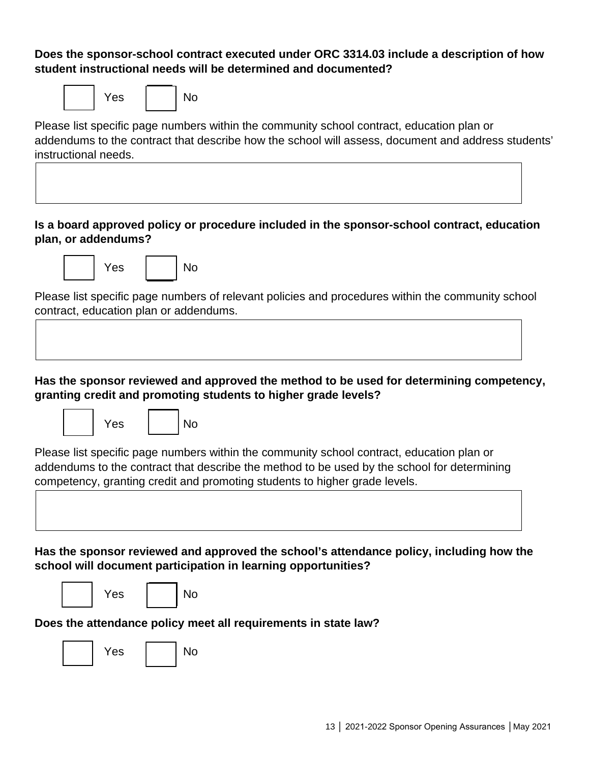#### **Does the sponsor-school contract executed under ORC 3314.03 include a description of how student instructional needs will be determined and documented?**

|  | Yes |  | No |
|--|-----|--|----|
|--|-----|--|----|

Please list specific page numbers within the community school contract, education plan or addendums to the contract that describe how the school will assess, document and address students' instructional needs.

#### **Is a board approved policy or procedure included in the sponsor-school contract, education plan, or addendums?**



Please list specific page numbers of relevant policies and procedures within the community school contract, education plan or addendums.

#### **Has the sponsor reviewed and approved the method to be used for determining competency, granting credit and promoting students to higher grade levels?**





Please list specific page numbers within the community school contract, education plan or addendums to the contract that describe the method to be used by the school for determining competency, granting credit and promoting students to higher grade levels.

**Has the sponsor reviewed and approved the school's attendance policy, including how the school will document participation in learning opportunities?**





# **Does the attendance policy meet all requirements in state law?**

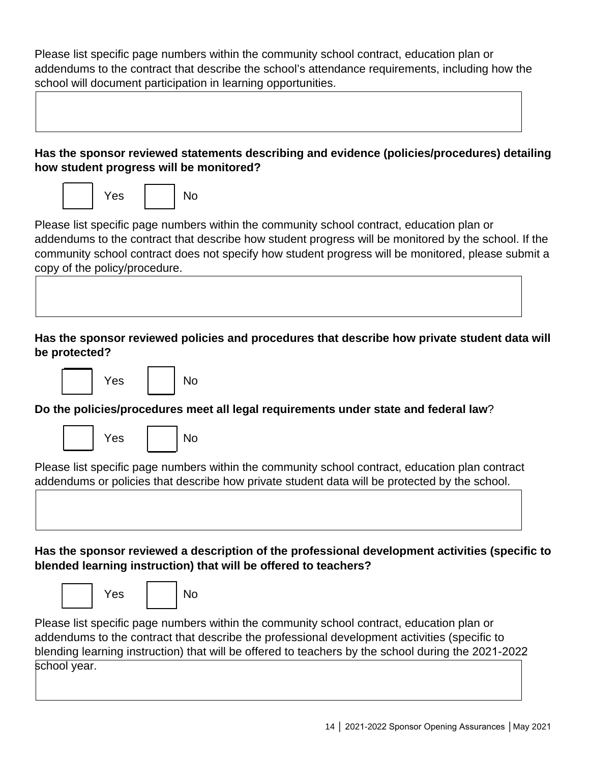Please list specific page numbers within the community school contract, education plan or addendums to the contract that describe the school's attendance requirements, including how the school will document participation in learning opportunities.

| Has the sponsor reviewed statements describing and evidence (policies/procedures) detailing<br>how student progress will be monitored?                                                                                                                                                                                                   |
|------------------------------------------------------------------------------------------------------------------------------------------------------------------------------------------------------------------------------------------------------------------------------------------------------------------------------------------|
| <b>No</b><br>Yes                                                                                                                                                                                                                                                                                                                         |
| Please list specific page numbers within the community school contract, education plan or<br>addendums to the contract that describe how student progress will be monitored by the school. If the<br>community school contract does not specify how student progress will be monitored, please submit a<br>copy of the policy/procedure. |
|                                                                                                                                                                                                                                                                                                                                          |
| Has the sponsor reviewed policies and procedures that describe how private student data will<br>be protected?                                                                                                                                                                                                                            |
| <b>No</b><br>Yes                                                                                                                                                                                                                                                                                                                         |
| Do the policies/procedures meet all legal requirements under state and federal law?                                                                                                                                                                                                                                                      |
| <b>No</b><br>Yes                                                                                                                                                                                                                                                                                                                         |
| Please list specific page numbers within the community school contract, education plan contract<br>addendums or policies that describe how private student data will be protected by the school.                                                                                                                                         |
|                                                                                                                                                                                                                                                                                                                                          |
| Has the sponsor reviewed a description of the professional development activities (specific to<br>blended learning instruction) that will be offered to teachers?                                                                                                                                                                        |
| No<br>Yes                                                                                                                                                                                                                                                                                                                                |
| Please list specific page numbers within the community school contract, education plan or<br>addendums to the contract that describe the professional development activities (specific to<br>blending learning instruction) that will be offered to teachers by the school during the 2021-2022<br>school year.                          |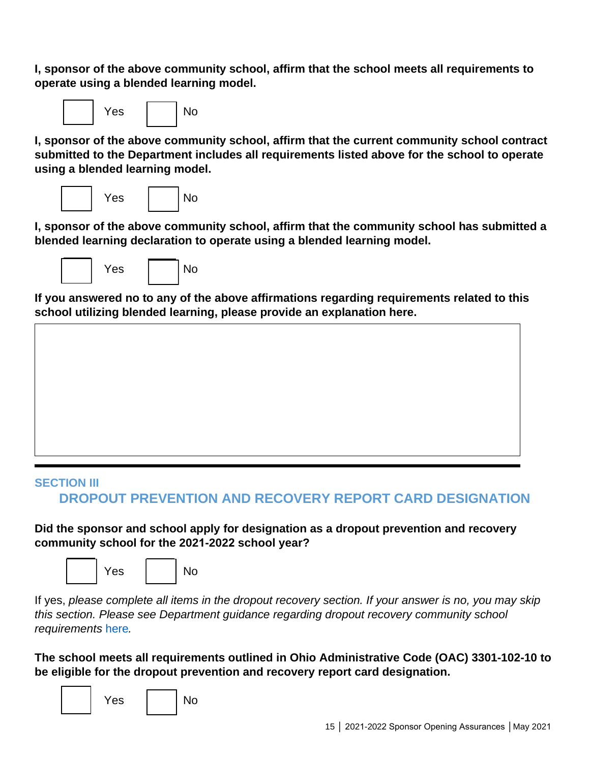**I, sponsor of the above community school, affirm that the school meets all requirements to operate using a blended learning model.**



**I, sponsor of the above community school, affirm that the current community school contract submitted to the Department includes all requirements listed above for the school to operate using a blended learning model.**



**I, sponsor of the above community school, affirm that the community school has submitted a blended learning declaration to operate using a blended learning model.**



**If you answered no to any of the above affirmations regarding requirements related to this school utilizing blended learning, please provide an explanation here.**

# **SECTION III DROPOUT PREVENTION AND RECOVERY REPORT CARD DESIGNATION**

**Did the sponsor and school apply for designation as a dropout prevention and recovery community school for the 2021-2022 school year?** 



If yes, *please complete all items in the dropout recovery section. If your answer is no, you may skip this section. Please see Department guidance regarding dropout recovery community school requirements* [here](http://education.ohio.gov/Topics/Community-Schools/Drop-Out-Prevention-and-Recovery)*.* 

**The school meets all requirements outlined in Ohio Administrative Code (OAC) 3301-102-10 to be eligible for the dropout prevention and recovery report card designation.**

|  | Yes |  | No |
|--|-----|--|----|
|--|-----|--|----|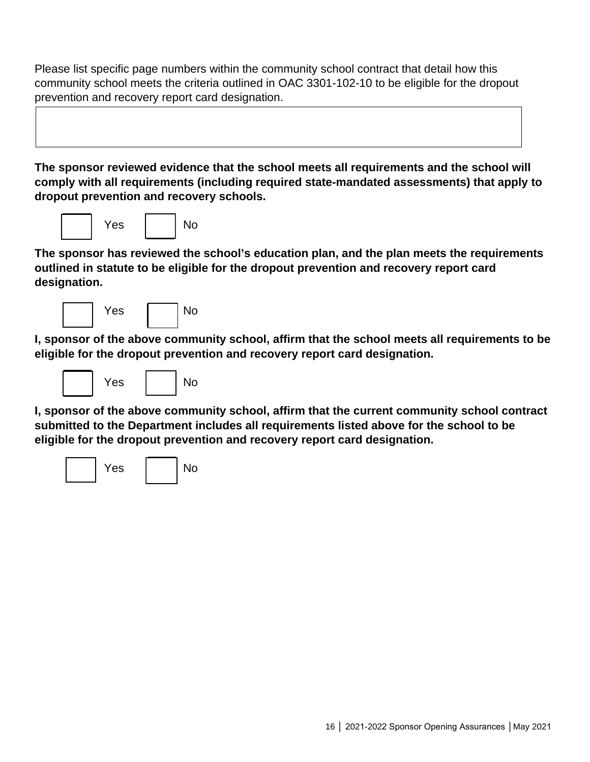Please list specific page numbers within the community school contract that detail how this community school meets the criteria outlined in OAC 3301-102-10 to be eligible for the dropout prevention and recovery report card designation.

**The sponsor reviewed evidence that the school meets all requirements and the school will comply with all requirements (including required state-mandated assessments) that apply to dropout prevention and recovery schools.**



**The sponsor has reviewed the school's education plan, and the plan meets the requirements outlined in statute to be eligible for the dropout prevention and recovery report card designation.**

| Yes |  | No |
|-----|--|----|
|     |  |    |

**I, sponsor of the above community school, affirm that the school meets all requirements to be eligible for the dropout prevention and recovery report card designation.**



**I, sponsor of the above community school, affirm that the current community school contract submitted to the Department includes all requirements listed above for the school to be eligible for the dropout prevention and recovery report card designation.**

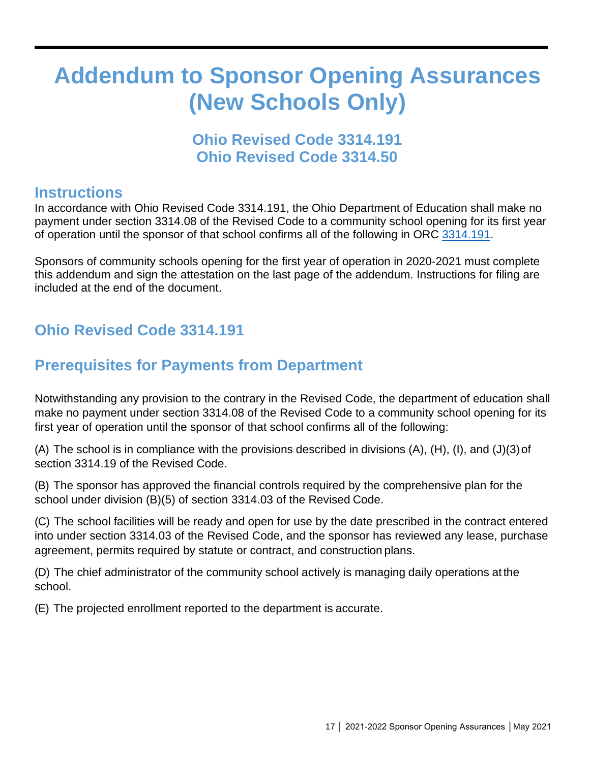# **Addendum to Sponsor Opening Assurances (New Schools Only)**

# **Ohio Revised Code 3314.191 Ohio Revised Code 3314.50**

### **Instructions**

In accordance with Ohio Revised Code 3314.191, the Ohio Department of Education shall make no payment under section 3314.08 of the Revised Code to a community school opening for its first year of operation until the sponsor of that school confirms all of the following in ORC [3314.191.](http://codes.ohio.gov/orc/3314.191)

Sponsors of community schools opening for the first year of operation in 2020-2021 must complete this addendum and sign the attestation on the last page of the addendum. Instructions for filing are included at the end of the document.

# **Ohio Revised Code 3314.191**

# **Prerequisites for Payments from Department**

Notwithstanding any provision to the contrary in the Revised Code, the department of education shall make no payment under section 3314.08 of the Revised Code to a community school opening for its first year of operation until the sponsor of that school confirms all of the following:

(A) The school is in compliance with the provisions described in divisions (A), (H), (I), and (J)(3)of section 3314.19 of the Revised Code.

(B) The sponsor has approved the financial controls required by the comprehensive plan for the school under division (B)(5) of section 3314.03 of the Revised Code.

(C) The school facilities will be ready and open for use by the date prescribed in the contract entered into under section 3314.03 of the Revised Code, and the sponsor has reviewed any lease, purchase agreement, permits required by statute or contract, and construction plans.

(D) The chief administrator of the community school actively is managing daily operations atthe school.

(E) The projected enrollment reported to the department is accurate.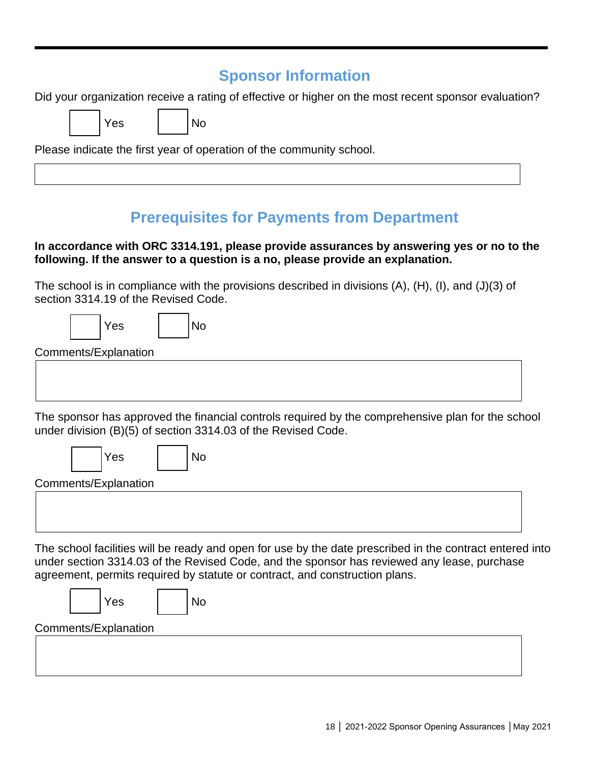# **Sponsor Information**

Did your organization receive a rating of effective or higher on the most recent sponsor evaluation?

Please indicate the first year of operation of the community school.

N<sub>o</sub>

Yes I INo

# **Prerequisites for Payments from Department**

#### **In accordance with ORC 3314.191, please provide assurances by answering yes or no to the following. If the answer to a question is a no, please provide an explanation.**

The school is in compliance with the provisions described in divisions (A), (H), (I), and (J)(3) of section 3314.19 of the Revised Code.

|  | Yes |  |
|--|-----|--|
|--|-----|--|

Comments/Explanation

The sponsor has approved the financial controls required by the comprehensive plan for the school under division (B)(5) of section 3314.03 of the Revised Code.

|   | Yes |  | No |
|---|-----|--|----|
| . |     |  |    |

Comments/Explanation

The school facilities will be ready and open for use by the date prescribed in the contract entered into under section 3314.03 of the Revised Code, and the sponsor has reviewed any lease, purchase agreement, permits required by statute or contract, and construction plans.

|                      | Yes |  | <b>No</b> |  |  |
|----------------------|-----|--|-----------|--|--|
| Comments/Explanation |     |  |           |  |  |
|                      |     |  |           |  |  |
|                      |     |  |           |  |  |
|                      |     |  |           |  |  |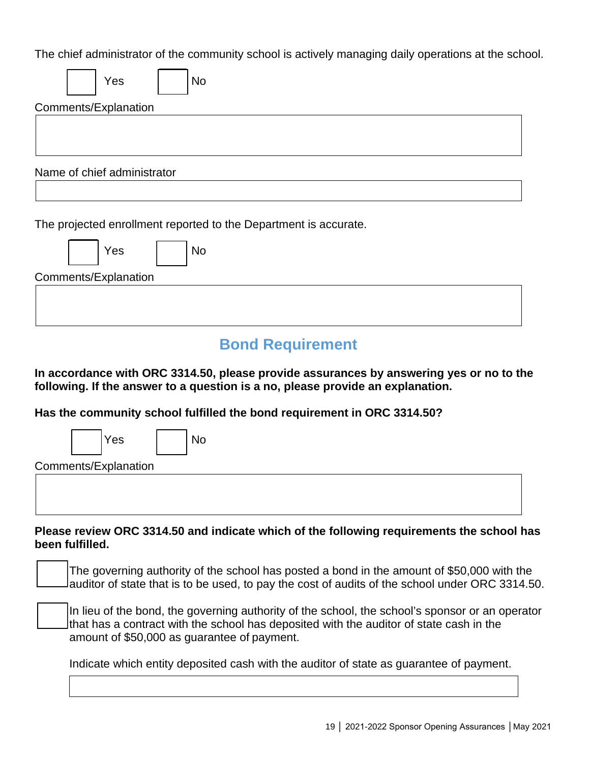The chief administrator of the community school is actively managing daily operations at the school.

| The oner administrator or the community concent to activery managing daily operations at the conce                                                                        |
|---------------------------------------------------------------------------------------------------------------------------------------------------------------------------|
| <b>No</b><br>Yes                                                                                                                                                          |
| Comments/Explanation                                                                                                                                                      |
|                                                                                                                                                                           |
|                                                                                                                                                                           |
|                                                                                                                                                                           |
| Name of chief administrator                                                                                                                                               |
|                                                                                                                                                                           |
| The projected enrollment reported to the Department is accurate.<br>Yes<br>No                                                                                             |
| Comments/Explanation                                                                                                                                                      |
|                                                                                                                                                                           |
|                                                                                                                                                                           |
|                                                                                                                                                                           |
| <b>Bond Requirement</b>                                                                                                                                                   |
| In accordance with ORC 3314.50, please provide assurances by answering yes or no to the<br>following. If the answer to a question is a no, please provide an explanation. |
| Has the community school fulfilled the bond requirement in ORC 3314.50?                                                                                                   |

Yes | | No

Comments/Explanation

**Please review ORC 3314.50 and indicate which of the following requirements the school has been fulfilled.**

The governing authority of the school has posted a bond in the amount of \$50,000 with the auditor of state that is to be used, to pay the cost of audits of the school under ORC 3314.50.

In lieu of the bond, the governing authority of the school, the school's sponsor or an operator that has a contract with the school has deposited with the auditor of state cash in the amount of \$50,000 as guarantee of payment.

Indicate which entity deposited cash with the auditor of state as guarantee of payment.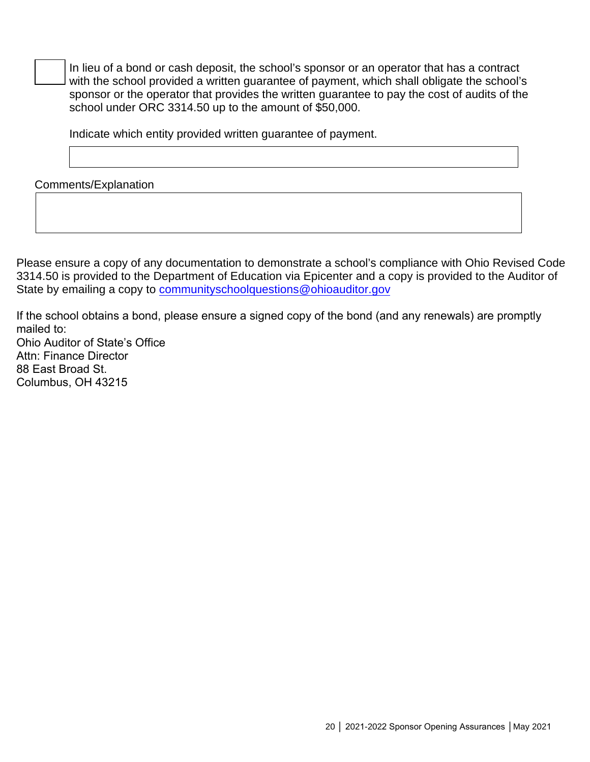In lieu of a bond or cash deposit, the school's sponsor or an operator that has a contract with the school provided a written guarantee of payment, which shall obligate the school's sponsor or the operator that provides the written guarantee to pay the cost of audits of the school under ORC 3314.50 up to the amount of \$50,000.

Indicate which entity provided written guarantee of payment.

Comments/Explanation

Please ensure a copy of any documentation to demonstrate a school's compliance with Ohio Revised Code 3314.50 is provided to the Department of Education via Epicenter and a copy is provided to the Auditor of State by emailing a copy to [communityschoolquestions@ohioauditor.gov](mailto:communityschoolquestions@ohioauditor.gov)

If the school obtains a bond, please ensure a signed copy of the bond (and any renewals) are promptly mailed to: Ohio Auditor of State's Office Attn: Finance Director 88 East Broad St.

Columbus, OH 43215